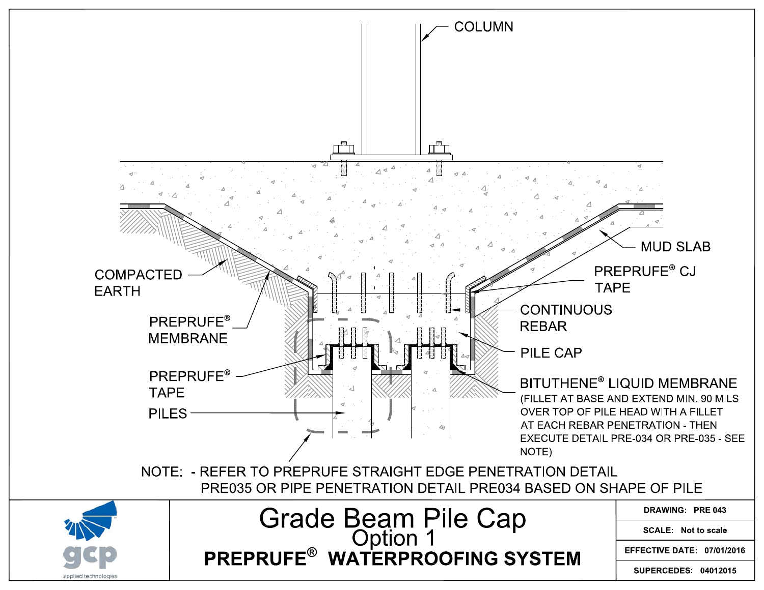